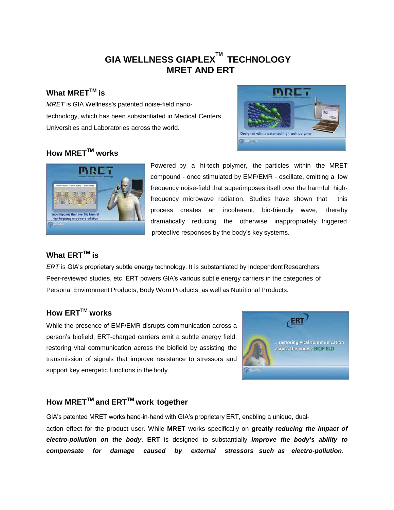# **GIA WELLNESS GIAPLEX TM TECHNOLOGY MRET AND ERT**

### **What MRETTM is**

*MRET* is GIA Wellness's patented noise-field nanotechnology, which has been substantiated in Medical Centers, Universities and Laboratories across the world.



# **How MRETTM works**



Powered by a hi-tech polymer, the particles within the MRET compound - once stimulated by EMF/EMR - oscillate, emitting a low frequency noise-field that superimposes itself over the harmful highfrequency microwave radiation. Studies have shown that this process creates an incoherent, bio-friendly wave, thereby dramatically reducing the otherwise inappropriately triggered protective responses by the body's key systems.

#### **What ERTTM is**

*ERT* is GIA's proprietary subtle energy technology. It is substantiated by Independent Researchers, Peer-reviewed studies, etc. ERT powers GIA's various subtle energy carriers in the categories of Personal Environment Products, Body Worn Products, as well as Nutritional Products.

# **How ERTTM works**

While the presence of EMF/EMR disrupts communication across a person's biofield, ERT-charged carriers emit a subtle energy field, restoring vital communication across the biofield by assisting the transmission of signals that improve resistance to stressors and support key energetic functions in the body.



# **How MRETTM and ERTTM work together**

GIA's patented MRET works hand-in-hand with GIA's proprietary ERT, enabling a unique, dualaction effect for the product user. While **MRET** works specifically on **greatly** *reducing the impact of electro-pollution on the body*, **ERT** is designed to substantially *improve the body's ability to compensate for damage caused by external stressors such as electro-pollution*.